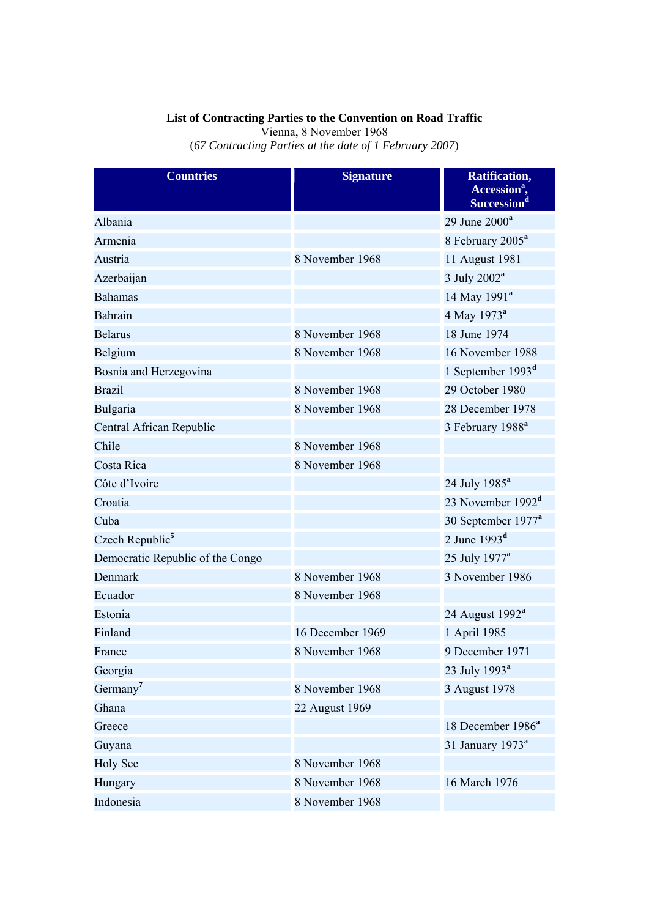## **List of Contracting Parties to the Convention on Road Traffic**

Vienna, 8 November 1968

(*67 Contracting Parties at the date of 1 February 2007*)

| <b>Countries</b>                 | <b>Signature</b> | Ratification,<br>Accession <sup>a</sup> ,<br>Succession <sup>d</sup> |
|----------------------------------|------------------|----------------------------------------------------------------------|
| Albania                          |                  | 29 June $2000^a$                                                     |
| Armenia                          |                  | 8 February 2005 <sup>a</sup>                                         |
| Austria                          | 8 November 1968  | 11 August 1981                                                       |
| Azerbaijan                       |                  | 3 July 2002 <sup>a</sup>                                             |
| <b>Bahamas</b>                   |                  | 14 May 1991 <sup>a</sup>                                             |
| Bahrain                          |                  | 4 May 1973 <sup>a</sup>                                              |
| <b>Belarus</b>                   | 8 November 1968  | 18 June 1974                                                         |
| Belgium                          | 8 November 1968  | 16 November 1988                                                     |
| Bosnia and Herzegovina           |                  | 1 September 1993 <sup>d</sup>                                        |
| <b>Brazil</b>                    | 8 November 1968  | 29 October 1980                                                      |
| Bulgaria                         | 8 November 1968  | 28 December 1978                                                     |
| Central African Republic         |                  | 3 February 1988 <sup>a</sup>                                         |
| Chile                            | 8 November 1968  |                                                                      |
| Costa Rica                       | 8 November 1968  |                                                                      |
| Côte d'Ivoire                    |                  | 24 July 1985 <sup>a</sup>                                            |
| Croatia                          |                  | 23 November 1992 <sup>d</sup>                                        |
| Cuba                             |                  | 30 September 1977 <sup>a</sup>                                       |
| Czech Republic <sup>5</sup>      |                  | 2 June $1993d$                                                       |
| Democratic Republic of the Congo |                  | 25 July 1977 <sup>a</sup>                                            |
| Denmark                          | 8 November 1968  | 3 November 1986                                                      |
| Ecuador                          | 8 November 1968  |                                                                      |
| Estonia                          |                  | 24 August 1992 <sup>a</sup>                                          |
| Finland                          | 16 December 1969 | 1 April 1985                                                         |
| France                           | 8 November 1968  | 9 December 1971                                                      |
| Georgia                          |                  | 23 July 1993 <sup>a</sup>                                            |
| Germany <sup>7</sup>             | 8 November 1968  | 3 August 1978                                                        |
| Ghana                            | 22 August 1969   |                                                                      |
| Greece                           |                  | 18 December 1986 <sup>a</sup>                                        |
| Guyana                           |                  | 31 January 1973 <sup>a</sup>                                         |
| <b>Holy See</b>                  | 8 November 1968  |                                                                      |
| Hungary                          | 8 November 1968  | 16 March 1976                                                        |
| Indonesia                        | 8 November 1968  |                                                                      |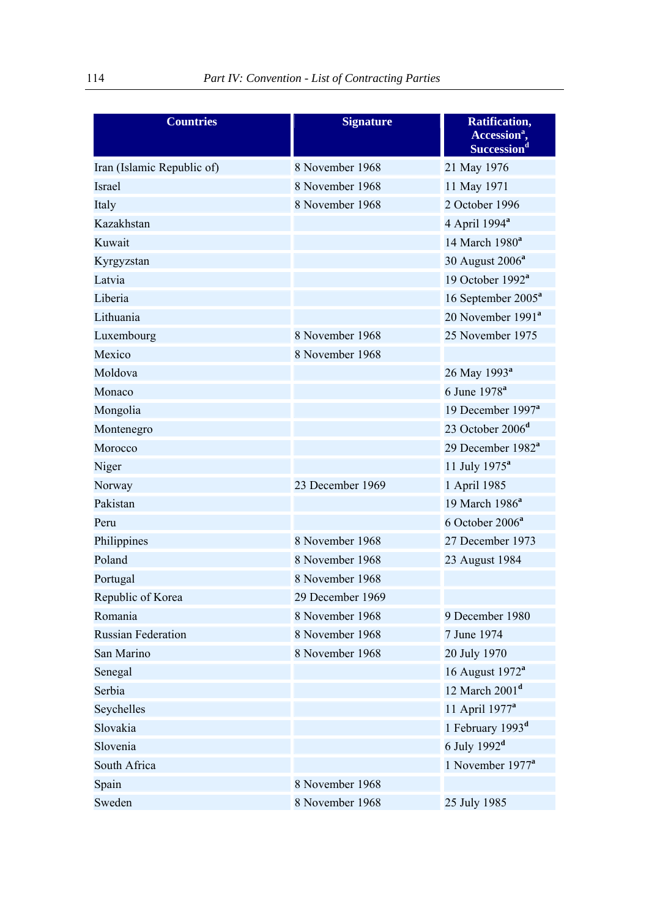| <b>Countries</b>           | <b>Signature</b> | Ratification,<br>Accession <sup>a</sup> ,<br>Succession <sup>d</sup> |
|----------------------------|------------------|----------------------------------------------------------------------|
| Iran (Islamic Republic of) | 8 November 1968  | 21 May 1976                                                          |
| Israel                     | 8 November 1968  | 11 May 1971                                                          |
| Italy                      | 8 November 1968  | 2 October 1996                                                       |
| Kazakhstan                 |                  | 4 April 1994 <sup>a</sup>                                            |
| Kuwait                     |                  | 14 March 1980 <sup>a</sup>                                           |
| Kyrgyzstan                 |                  | 30 August 2006 <sup>a</sup>                                          |
| Latvia                     |                  | 19 October 1992 <sup>a</sup>                                         |
| Liberia                    |                  | 16 September 2005 <sup>a</sup>                                       |
| Lithuania                  |                  | 20 November 1991 <sup>a</sup>                                        |
| Luxembourg                 | 8 November 1968  | 25 November 1975                                                     |
| Mexico                     | 8 November 1968  |                                                                      |
| Moldova                    |                  | 26 May 1993 <sup>a</sup>                                             |
| Monaco                     |                  | 6 June 1978 <sup>a</sup>                                             |
| Mongolia                   |                  | 19 December 1997 <sup>a</sup>                                        |
| Montenegro                 |                  | 23 October 2006 <sup>d</sup>                                         |
| Morocco                    |                  | 29 December 1982 <sup>a</sup>                                        |
| Niger                      |                  | 11 July $1975^a$                                                     |
| Norway                     | 23 December 1969 | 1 April 1985                                                         |
| Pakistan                   |                  | 19 March 1986 <sup>a</sup>                                           |
| Peru                       |                  | 6 October 2006 <sup>a</sup>                                          |
| Philippines                | 8 November 1968  | 27 December 1973                                                     |
| Poland                     | 8 November 1968  | 23 August 1984                                                       |
| Portugal                   | 8 November 1968  |                                                                      |
| Republic of Korea          | 29 December 1969 |                                                                      |
| Romania                    | 8 November 1968  | 9 December 1980                                                      |
| <b>Russian Federation</b>  | 8 November 1968  | 7 June 1974                                                          |
| San Marino                 | 8 November 1968  | 20 July 1970                                                         |
| Senegal                    |                  | 16 August 1972 <sup>a</sup>                                          |
| Serbia                     |                  | 12 March $2001d$                                                     |
| Seychelles                 |                  | 11 April 1977 <sup>a</sup>                                           |
| Slovakia                   |                  | 1 February 1993 <sup>d</sup>                                         |
| Slovenia                   |                  | 6 July $1992d$                                                       |
| South Africa               |                  | 1 November 1977 <sup>a</sup>                                         |
| Spain                      | 8 November 1968  |                                                                      |
| Sweden                     | 8 November 1968  | 25 July 1985                                                         |